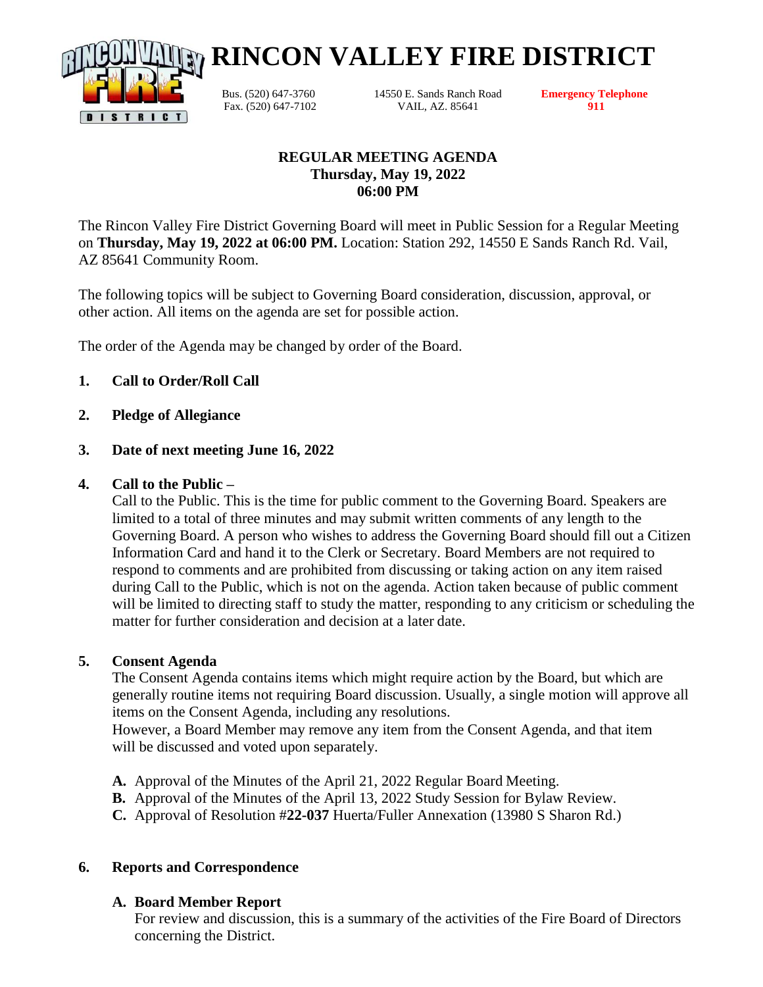

Bus. (520) 647-3760 14550 E. Sands Ranch Road **Emergency Telephone** Fax. (520) 647-7102 VAIL, AZ. 85641 **911**

**RINCON VALLEY FIRE DISTRICT**

## **REGULAR MEETING AGENDA Thursday, May 19, 2022 06:00 PM**

The Rincon Valley Fire District Governing Board will meet in Public Session for a Regular Meeting on **Thursday, May 19, 2022 at 06:00 PM.** Location: Station 292, 14550 E Sands Ranch Rd. Vail, AZ 85641 Community Room.

The following topics will be subject to Governing Board consideration, discussion, approval, or other action. All items on the agenda are set for possible action.

The order of the Agenda may be changed by order of the Board.

# **1. Call to Order/Roll Call**

**2. Pledge of Allegiance**

### **3. Date of next meeting June 16, 2022**

### **4. Call to the Public –**

Call to the Public. This is the time for public comment to the Governing Board. Speakers are limited to a total of three minutes and may submit written comments of any length to the Governing Board. A person who wishes to address the Governing Board should fill out a Citizen Information Card and hand it to the Clerk or Secretary. Board Members are not required to respond to comments and are prohibited from discussing or taking action on any item raised during Call to the Public, which is not on the agenda. Action taken because of public comment will be limited to directing staff to study the matter, responding to any criticism or scheduling the matter for further consideration and decision at a later date.

#### **5. Consent Agenda**

The Consent Agenda contains items which might require action by the Board, but which are generally routine items not requiring Board discussion. Usually, a single motion will approve all items on the Consent Agenda, including any resolutions.

However, a Board Member may remove any item from the Consent Agenda, and that item will be discussed and voted upon separately.

- **A.** Approval of the Minutes of the April 21, 2022 Regular Board Meeting.
- **B.** Approval of the Minutes of the April 13, 2022 Study Session for Bylaw Review.
- **C.** Approval of Resolution #**22-037** Huerta/Fuller Annexation (13980 S Sharon Rd.)

## **6. Reports and Correspondence**

## **A. Board Member Report**

For review and discussion, this is a summary of the activities of the Fire Board of Directors concerning the District.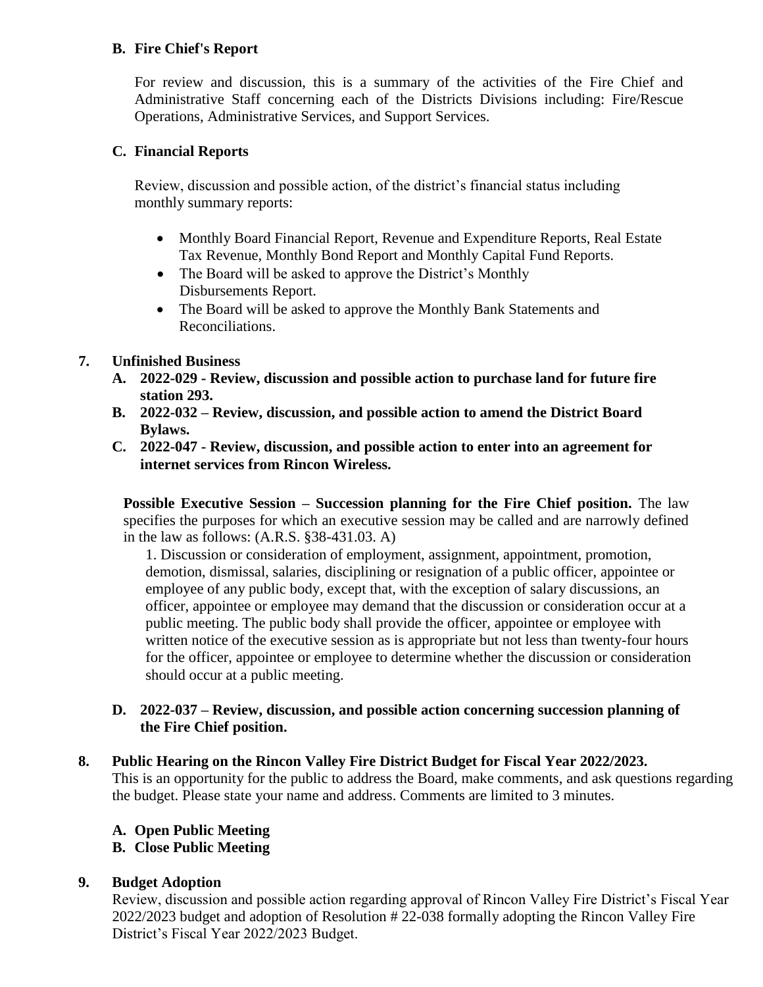## **B. Fire Chief's Report**

For review and discussion, this is a summary of the activities of the Fire Chief and Administrative Staff concerning each of the Districts Divisions including: Fire/Rescue Operations, Administrative Services, and Support Services.

### **C. Financial Reports**

Review, discussion and possible action, of the district's financial status including monthly summary reports:

- Monthly Board Financial Report, Revenue and Expenditure Reports, Real Estate Tax Revenue, Monthly Bond Report and Monthly Capital Fund Reports.
- The Board will be asked to approve the District's Monthly Disbursements Report.
- The Board will be asked to approve the Monthly Bank Statements and Reconciliations.

### **7. Unfinished Business**

- **A. 2022-029 - Review, discussion and possible action to purchase land for future fire station 293.**
- **B. 2022-032 – Review, discussion, and possible action to amend the District Board Bylaws.**
- **C. 2022-047 - Review, discussion, and possible action to enter into an agreement for internet services from Rincon Wireless.**

**Possible Executive Session – Succession planning for the Fire Chief position.** The law specifies the purposes for which an executive session may be called and are narrowly defined in the law as follows: (A.R.S. §38-431.03. A)

1. Discussion or consideration of employment, assignment, appointment, promotion, demotion, dismissal, salaries, disciplining or resignation of a public officer, appointee or employee of any public body, except that, with the exception of salary discussions, an officer, appointee or employee may demand that the discussion or consideration occur at a public meeting. The public body shall provide the officer, appointee or employee with written notice of the executive session as is appropriate but not less than twenty-four hours for the officer, appointee or employee to determine whether the discussion or consideration should occur at a public meeting.

### **D. 2022-037 – Review, discussion, and possible action concerning succession planning of the Fire Chief position.**

#### **8. Public Hearing on the Rincon Valley Fire District Budget for Fiscal Year 2022/2023.**

This is an opportunity for the public to address the Board, make comments, and ask questions regarding the budget. Please state your name and address. Comments are limited to 3 minutes.

#### **A. Open Public Meeting**

## **B. Close Public Meeting**

#### **9. Budget Adoption**

Review, discussion and possible action regarding approval of Rincon Valley Fire District's Fiscal Year 2022/2023 budget and adoption of Resolution # 22-038 formally adopting the Rincon Valley Fire District's Fiscal Year 2022/2023 Budget.